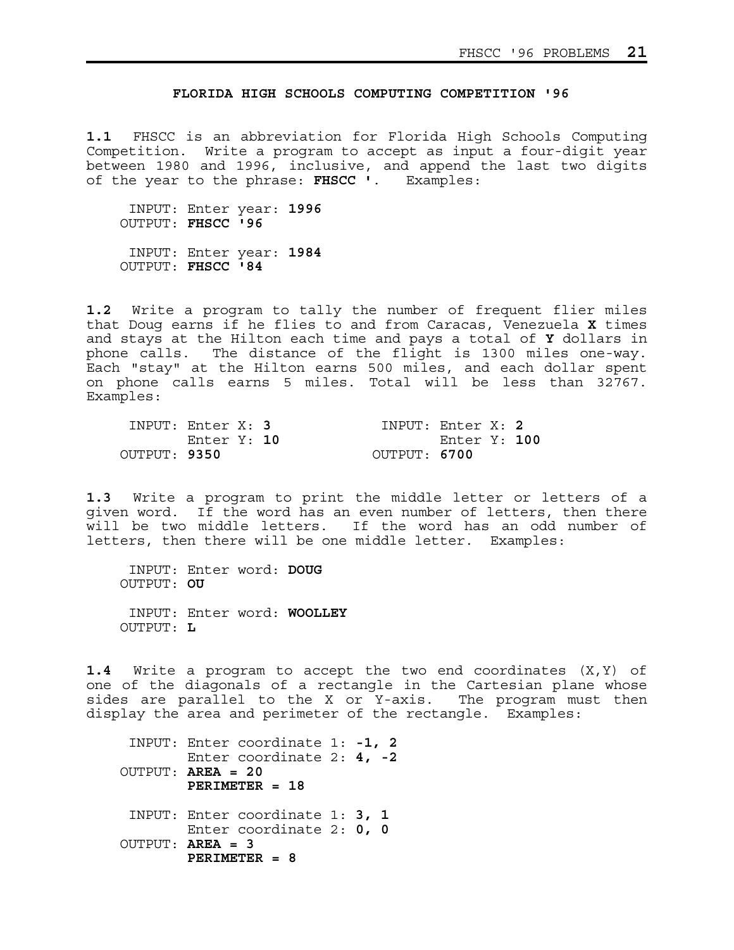## **FLORIDA HIGH SCHOOLS COMPUTING COMPETITION '96**

**1.1** FHSCC is an abbreviation for Florida High Schools Computing Competition. Write a program to accept as input a four-digit year between 1980 and 1996, inclusive, and append the last two digits of the year to the phrase: **FHSCC '**. Examples:

 INPUT: Enter year: **1996** OUTPUT: **FHSCC '96** INPUT: Enter year: **1984** OUTPUT: **FHSCC '84**

**1.2** Write a program to tally the number of frequent flier miles that Doug earns if he flies to and from Caracas, Venezuela **X** times and stays at the Hilton each time and pays a total of **Y** dollars in phone calls. The distance of the flight is 1300 miles one-way. Each "stay" at the Hilton earns 500 miles, and each dollar spent on phone calls earns 5 miles. Total will be less than 32767. Examples:

| INPUT: Enter X: 3 |             |  | INPUT: Enter $X: 2$ |              |  |
|-------------------|-------------|--|---------------------|--------------|--|
|                   | Enter Y: 10 |  |                     | Enter Y: 100 |  |
| OUTPUT: 9350      |             |  | OUTPUT: 6700        |              |  |

**1.3** Write a program to print the middle letter or letters of a given word. If the word has an even number of letters, then there will be two middle letters. If the word has an odd number of letters, then there will be one middle letter. Examples:

 INPUT: Enter word: **DOUG** OUTPUT: **OU** INPUT: Enter word: **WOOLLEY** OUTPUT: **L**

**1.4** Write a program to accept the two end coordinates (X,Y) of one of the diagonals of a rectangle in the Cartesian plane whose sides are parallel to the X or Y-axis. The program must then display the area and perimeter of the rectangle. Examples:

 INPUT: Enter coordinate 1: **-1, 2** Enter coordinate 2: **4, -2** OUTPUT: **AREA = 20 PERIMETER = 18** INPUT: Enter coordinate 1: **3, 1** Enter coordinate 2: **0, 0** OUTPUT: **AREA = 3 PERIMETER = 8**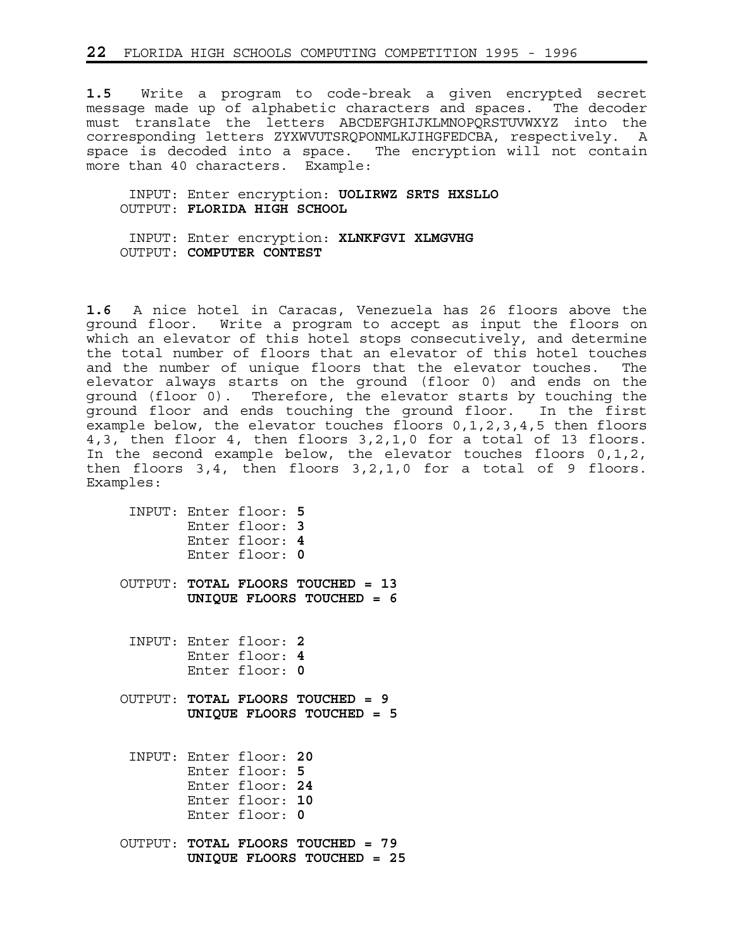**1.5** Write a program to code-break a given encrypted secret message made up of alphabetic characters and spaces. The decoder must translate the letters ABCDEFGHIJKLMNOPQRSTUVWXYZ into the corresponding letters ZYXWVUTSRQPONMLKJIHGFEDCBA, respectively. A space is decoded into a space. The encryption will not contain more than 40 characters. Example:

 INPUT: Enter encryption: **UOLIRWZ SRTS HXSLLO** OUTPUT: **FLORIDA HIGH SCHOOL**

 INPUT: Enter encryption: **XLNKFGVI XLMGVHG** OUTPUT: **COMPUTER CONTEST**

**1.6** A nice hotel in Caracas, Venezuela has 26 floors above the ground floor. Write a program to accept as input the floors on which an elevator of this hotel stops consecutively, and determine the total number of floors that an elevator of this hotel touches and the number of unique floors that the elevator touches. The elevator always starts on the ground (floor 0) and ends on the ground (floor 0). Therefore, the elevator starts by touching the ground floor and ends touching the ground floor. In the first example below, the elevator touches floors 0,1,2,3,4,5 then floors 4,3, then floor 4, then floors 3,2,1,0 for a total of 13 floors. In the second example below, the elevator touches floors 0,1,2, then floors 3,4, then floors 3,2,1,0 for a total of 9 floors. Examples:

| INPUT: Enter floor: 5<br>Enter floor: 3<br>Enter floor: 4<br>Enter floor: 0                      |
|--------------------------------------------------------------------------------------------------|
| OUTPUT: TOTAL FLOORS TOUCHED = 13<br>UNIQUE FLOORS TOUCHED = 6                                   |
| INPUT: Enter floor: 2<br>Enter floor: 4<br>Enter floor: 0                                        |
| OUTPUT: TOTAL FLOORS TOUCHED = 9<br>UNIQUE FLOORS TOUCHED = 5                                    |
| INPUT: Enter floor: 20<br>Enter floor: 5<br>Enter floor: 24<br>Enter floor: 10<br>Enter floor: 0 |
| OUTPUT: TOTAL FLOORS TOUCHED = 79<br>UNIOUE FLOORS TOUCHED =<br>25                               |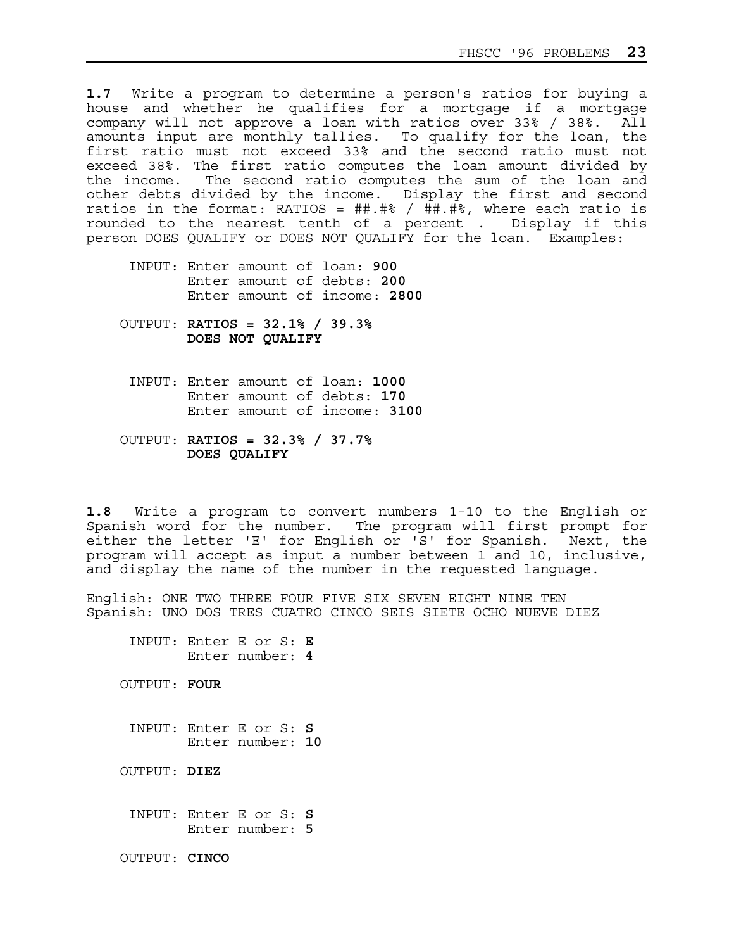**1.7** Write a program to determine a person's ratios for buying a house and whether he qualifies for a mortgage if a mortgage company will not approve a loan with ratios over 33% / 38%. All amounts input are monthly tallies. To qualify for the loan, the first ratio must not exceed 33% and the second ratio must not exceed 38%. The first ratio computes the loan amount divided by the income. The second ratio computes the sum of the loan and other debts divided by the income. Display the first and second ratios in the format: RATIOS =  $\#$ #.#\$ /  $\#$ #.#\$, where each ratio is rounded to the nearest tenth of a percent . Display if this rounded to the nearest tenth of a percent. person DOES QUALIFY or DOES NOT QUALIFY for the loan. Examples:

- INPUT: Enter amount of loan: **900** Enter amount of debts: **200** Enter amount of income: **2800**
- OUTPUT: **RATIOS = 32.1% / 39.3% DOES NOT QUALIFY**
	- INPUT: Enter amount of loan: **1000** Enter amount of debts: **170** Enter amount of income: **3100**
- OUTPUT: **RATIOS = 32.3% / 37.7% DOES QUALIFY**

**1.8** Write a program to convert numbers 1-10 to the English or Spanish word for the number. The program will first prompt for either the letter 'E' for English or 'S' for Spanish. Next, the program will accept as input a number between 1 and 10, inclusive, and display the name of the number in the requested language.

English: ONE TWO THREE FOUR FIVE SIX SEVEN EIGHT NINE TEN Spanish: UNO DOS TRES CUATRO CINCO SEIS SIETE OCHO NUEVE DIEZ

 INPUT: Enter E or S: **E** Enter number: **4**

OUTPUT: **FOUR**

 INPUT: Enter E or S: **S** Enter number: **10**

OUTPUT: **DIEZ**

 INPUT: Enter E or S: **S** Enter number: **5**

OUTPUT: **CINCO**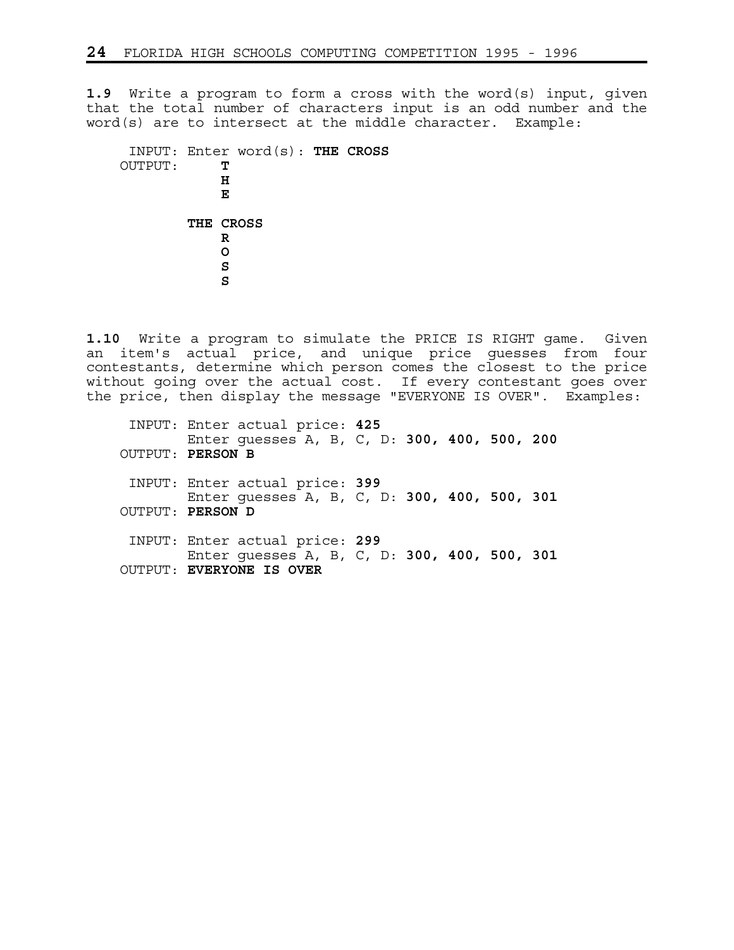**1.9** Write a program to form a cross with the word(s) input, given that the total number of characters input is an odd number and the word(s) are to intersect at the middle character. Example:

 INPUT: Enter word(s): **THE CROSS** OUTPUT: **T**  *H* **E** E **E THE CROSS R R O S S** S S S S S S S S S S S S S S

**1.10** Write a program to simulate the PRICE IS RIGHT game. Given an item's actual price, and unique price guesses from four contestants, determine which person comes the closest to the price without going over the actual cost. If every contestant goes over the price, then display the message "EVERYONE IS OVER". Examples:

 INPUT: Enter actual price: **425** Enter guesses A, B, C, D: **300, 400, 500, 200** OUTPUT: **PERSON B** INPUT: Enter actual price: **399** Enter guesses A, B, C, D: **300, 400, 500, 301** OUTPUT: **PERSON D** INPUT: Enter actual price: **299** Enter guesses A, B, C, D: **300, 400, 500, 301** OUTPUT: **EVERYONE IS OVER**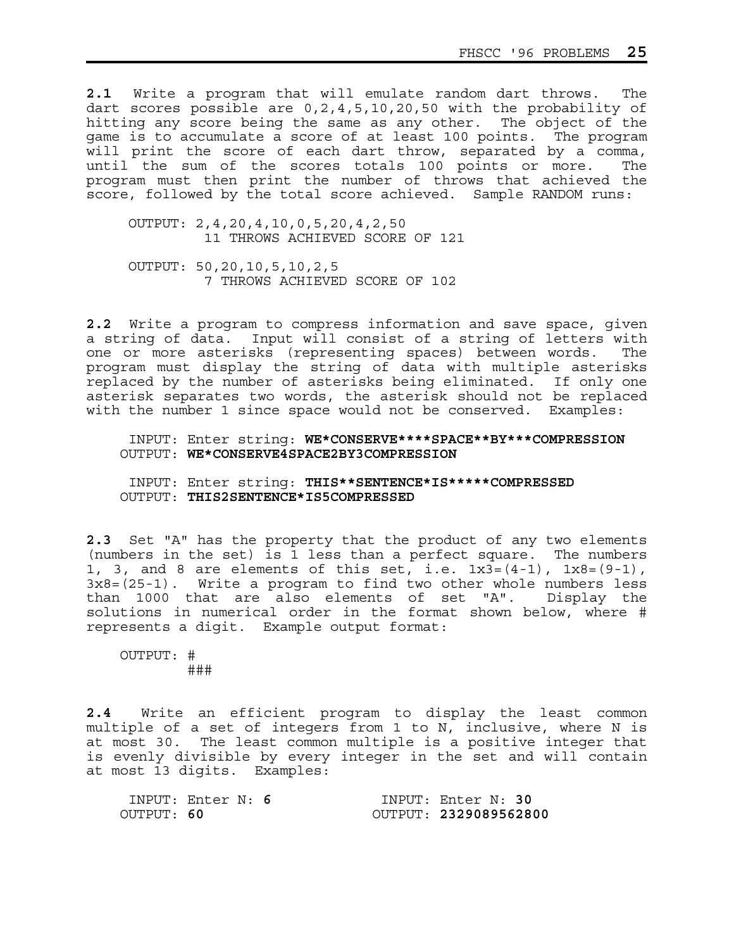**2.1** Write a program that will emulate random dart throws. The dart scores possible are 0,2,4,5,10,20,50 with the probability of hitting any score being the same as any other. The object of the game is to accumulate a score of at least 100 points. The program will print the score of each dart throw, separated by a comma, until the sum of the scores totals 100 points or more. The program must then print the number of throws that achieved the score, followed by the total score achieved. Sample RANDOM runs:

 OUTPUT: 2,4,20,4,10,0,5,20,4,2,50 11 THROWS ACHIEVED SCORE OF 121

 OUTPUT: 50,20,10,5,10,2,5 7 THROWS ACHIEVED SCORE OF 102

**2.2** Write a program to compress information and save space, given a string of data. Input will consist of a string of letters with one or more asterisks (representing spaces) between words. The program must display the string of data with multiple asterisks replaced by the number of asterisks being eliminated. If only one asterisk separates two words, the asterisk should not be replaced with the number 1 since space would not be conserved. Examples:

 INPUT: Enter string: **WE\*CONSERVE\*\*\*\*SPACE\*\*BY\*\*\*COMPRESSION** OUTPUT: **WE\*CONSERVE4SPACE2BY3COMPRESSION**

 INPUT: Enter string: **THIS\*\*SENTENCE\*IS\*\*\*\*\*COMPRESSED** OUTPUT: **THIS2SENTENCE\*IS5COMPRESSED**

**2.3** Set "A" has the property that the product of any two elements (numbers in the set) is 1 less than a perfect square. The numbers 1, 3, and 8 are elements of this set, i.e.  $1x3=(4-1)$ ,  $1x8=(9-1)$ , 3x8=(25-1). Write a program to find two other whole numbers less than 1000 that are also elements of set "A". Display the solutions in numerical order in the format shown below, where # represents a digit. Example output format:

 OUTPUT: # ###

**2.4** Write an efficient program to display the least common multiple of a set of integers from 1 to N, inclusive, where N is at most 30. The least common multiple is a positive integer that is evenly divisible by every integer in the set and will contain at most 13 digits. Examples:

|            | INPUT: Enter $N: 6$ |  | INPUT: Enter N: 30    |
|------------|---------------------|--|-----------------------|
| OUTPUT: 60 |                     |  | OUTPUT: 2329089562800 |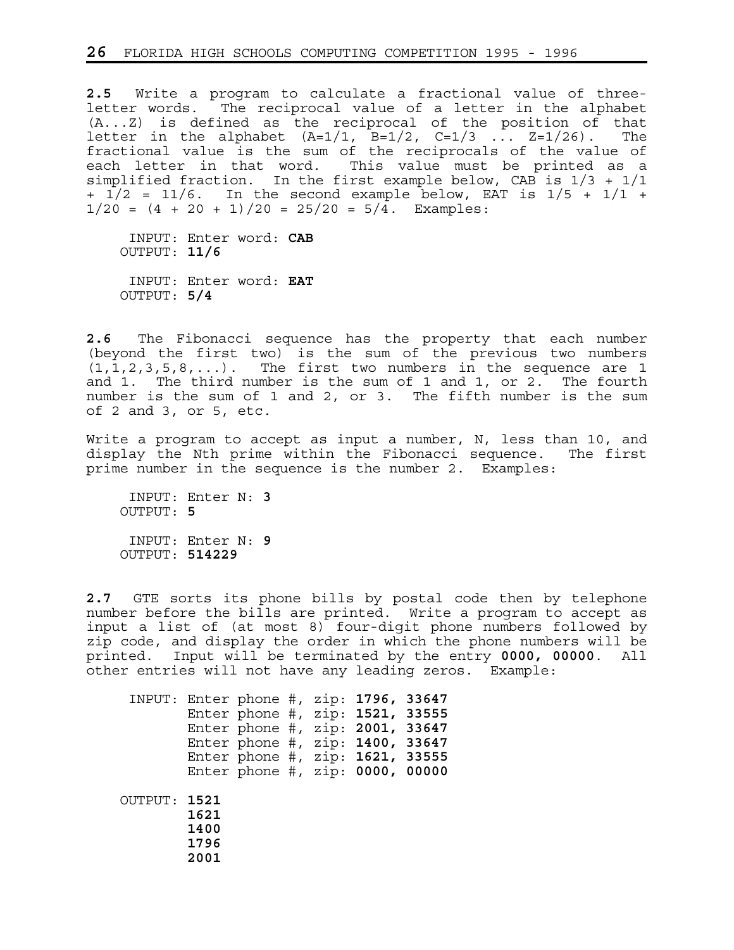**2.5** Write a program to calculate a fractional value of threeletter words. The reciprocal value of a letter in the alphabet (A...Z) is defined as the reciprocal of the position of that letter in the alphabet  $(A=1/1, B=1/2, C=1/3 ... Z=1/26)$ . The fractional value is the sum of the reciprocals of the value of each letter in that word. This value must be printed as a simplified fraction. In the first example below, CAB is  $1/3 + 1/1$ +  $1/2$  =  $11/6$ . In the second example below, EAT is  $1/5$  +  $1/1$  +  $1/20 = (4 + 20 + 1)/20 = 25/20 = 5/\overline{4}$ . Examples:

 INPUT: Enter word: **CAB** OUTPUT: **11/6** INPUT: Enter word: **EAT** OUTPUT: **5/4**

**2.6** The Fibonacci sequence has the property that each number (beyond the first two) is the sum of the previous two numbers  $(1, 1, 2, 3, 5, 8, \ldots)$ . The first two numbers in the sequence are 1 and 1. The third number is the sum of 1 and 1, or 2. The fourth number is the sum of 1 and 2, or 3. The fifth number is the sum of 2 and 3, or 5, etc.

Write a program to accept as input a number, N, less than 10, and display the Nth prime within the Fibonacci sequence. The first prime number in the sequence is the number 2. Examples:

 INPUT: Enter N: **3** OUTPUT: **5** INPUT: Enter N: **9** OUTPUT: **514229**

**2.7** GTE sorts its phone bills by postal code then by telephone number before the bills are printed. Write a program to accept as input a list of (at most 8) four-digit phone numbers followed by zip code, and display the order in which the phone numbers will be printed. Input will be terminated by the entry **0000, 00000**. All other entries will not have any leading zeros. Example:

| INPUT: Enter phone #, zip: 1796, 33647 |                              | Enter phone #, zip: 1521, 33555<br>Enter phone #, zip: 2001, 33647<br>Enter phone #, zip: 1400, 33647<br>Enter phone #, zip: 1621, 33555<br>Enter phone #, $zip: 0000, 00000$ |  |  |  |
|----------------------------------------|------------------------------|-------------------------------------------------------------------------------------------------------------------------------------------------------------------------------|--|--|--|
| OUTPUT: 1521                           | 1621<br>1400<br>1796<br>2001 |                                                                                                                                                                               |  |  |  |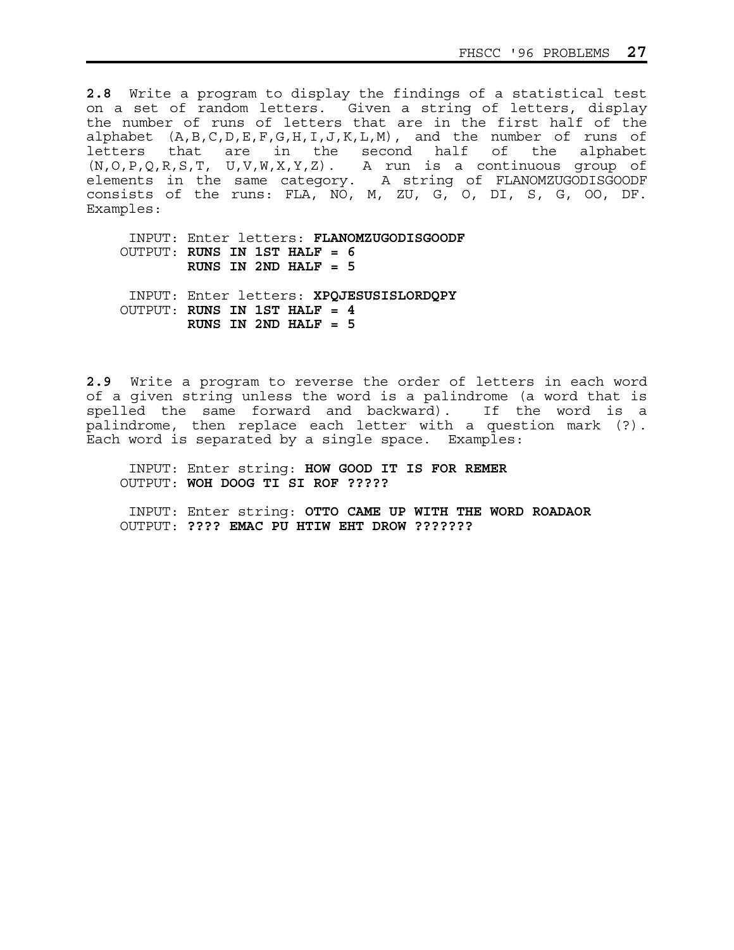**2.8** Write a program to display the findings of a statistical test on a set of random letters. Given a string of letters, display the number of runs of letters that are in the first half of the alphabet (A,B,C,D,E,F,G,H,I,J,K,L,M), and the number of runs of letters that are in the second half of the alphabet (N,O,P,Q,R,S,T, U,V,W,X,Y,Z). A run is a continuous group of elements in the same category. A string of FLANOMZUGODISGOODF consists of the runs: FLA, NO, M, ZU, G, O, DI, S, G, OO, DF. Examples:

 INPUT: Enter letters: **FLANOMZUGODISGOODF** OUTPUT: **RUNS IN 1ST HALF = 6 RUNS IN 2ND HALF = 5**  INPUT: Enter letters: **XPQJESUSISLORDQPY** OUTPUT: **RUNS IN 1ST HALF = 4** 

 **RUNS IN 2ND HALF = 5** 

**2.9** Write a program to reverse the order of letters in each word of a given string unless the word is a palindrome (a word that is spelled the same forward and backward). If the word is a palindrome, then replace each letter with a question mark (?). Each word is separated by a single space. Examples:

 INPUT: Enter string: **HOW GOOD IT IS FOR REMER** OUTPUT: **WOH DOOG TI SI ROF ?????**

 INPUT: Enter string: **OTTO CAME UP WITH THE WORD ROADAOR** OUTPUT: **???? EMAC PU HTIW EHT DROW ???????**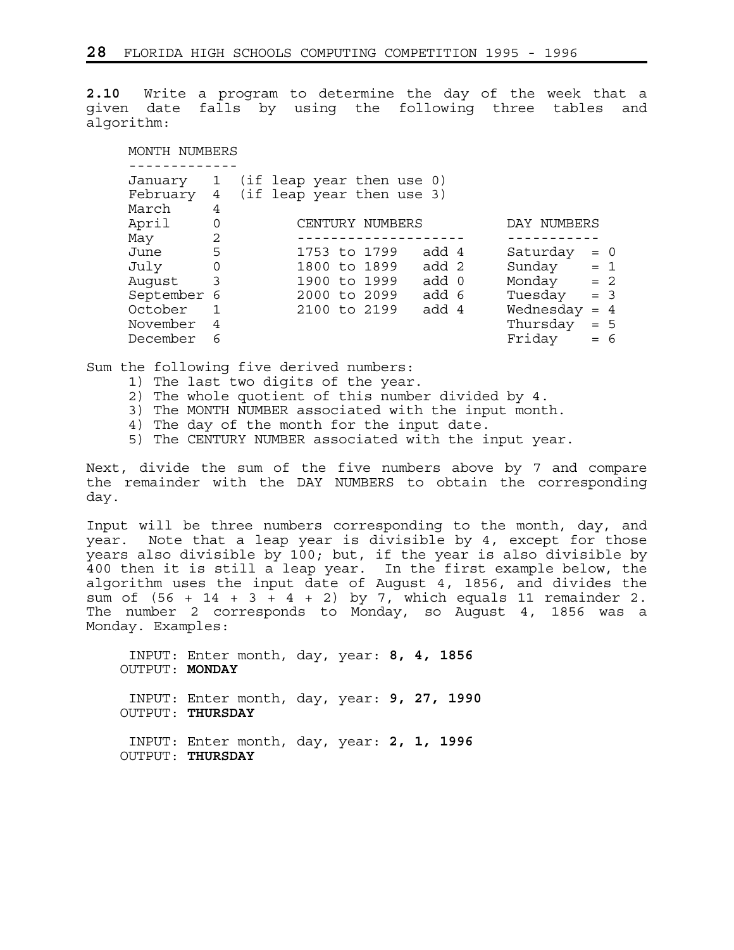**2.10** Write a program to determine the day of the week that a given date falls by using the following three tables and algorithm:

| MONTH NUMBERS       |                          |                                                        |                    |
|---------------------|--------------------------|--------------------------------------------------------|--------------------|
| January<br>February | $\mathbf{1}$<br>4        | (if leap year then use 0)<br>(if leap year then use 3) |                    |
| March<br>April      | 4<br>0                   | CENTURY NUMBERS                                        | DAY NUMBERS        |
| May                 | 2                        |                                                        |                    |
| June                | 5                        | add 4<br>1753 to 1799                                  | Saturday<br>$= 0$  |
| July                | $\mathbf 0$              | add 2<br>1800 to 1899                                  | Sunday<br>$= 1$    |
| Auqust              | $\overline{\phantom{a}}$ | 1900 to 1999<br>add 0                                  | Monday<br>$= 2$    |
| September 6         |                          | add 6<br>2000 to 2099                                  | Tuesday<br>$= 3$   |
| October             |                          | add 4<br>2100 to 2199                                  | Wednesday<br>$= 4$ |
| November            | 4                        |                                                        | Thursday<br>$= 5$  |
| December            | 6                        |                                                        | Friday<br>6<br>$=$ |

Sum the following five derived numbers:

- 1) The last two digits of the year.
- 2) The whole quotient of this number divided by 4.
- 3) The MONTH NUMBER associated with the input month.
- 4) The day of the month for the input date.
- 5) The CENTURY NUMBER associated with the input year.

Next, divide the sum of the five numbers above by 7 and compare the remainder with the DAY NUMBERS to obtain the corresponding day.

Input will be three numbers corresponding to the month, day, and year. Note that a leap year is divisible by 4, except for those years also divisible by 100; but, if the year is also divisible by 400 then it is still a leap year. In the first example below, the algorithm uses the input date of August 4, 1856, and divides the sum of  $(56 + 14 + 3 + 4 + 2)$  by 7, which equals 11 remainder 2. The number 2 corresponds to Monday, so August 4, 1856 was a Monday. Examples:

 INPUT: Enter month, day, year: **8, 4, 1856** OUTPUT: **MONDAY** INPUT: Enter month, day, year: **9, 27, 1990** OUTPUT: **THURSDAY** INPUT: Enter month, day, year: **2, 1, 1996** OUTPUT: **THURSDAY**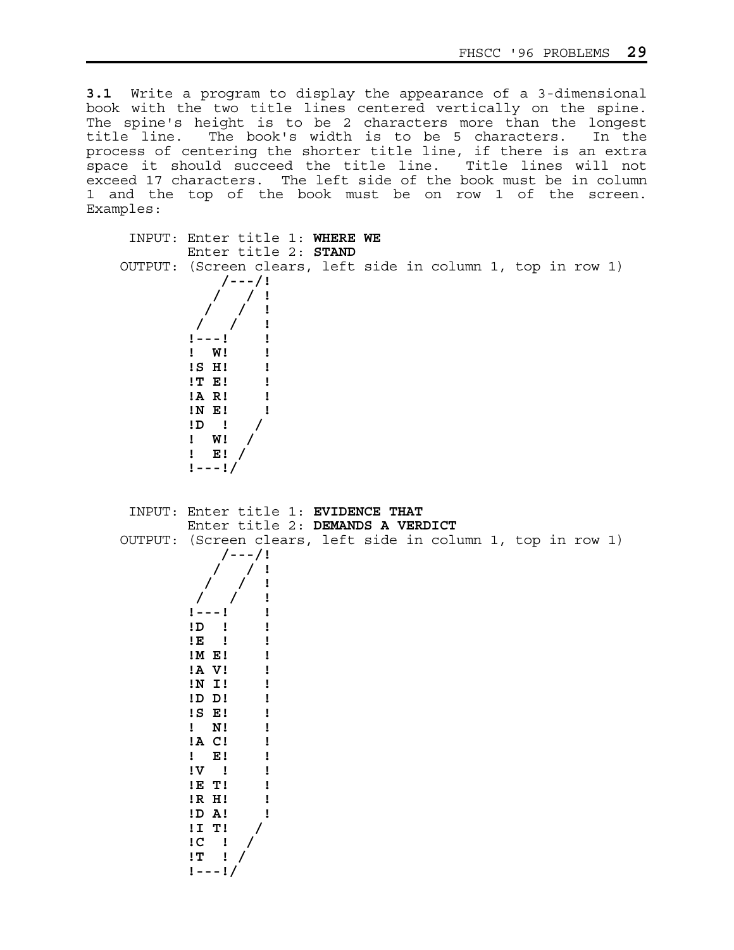**3.1** Write a program to display the appearance of a 3-dimensional book with the two title lines centered vertically on the spine. The spine's height is to be 2 characters more than the longest title line. The book's width is to be 5 characters. In the process of centering the shorter title line, if there is an extra space it should succeed the title line. Title lines will not exceed 17 characters. The left side of the book must be in column 1 and the top of the book must be on row 1 of the screen. Examples:

| INPUT: Enter title 1: WHERE WE<br>Enter title 2: STAND                                                                                                                                                                                                                                                                                                                                            |
|---------------------------------------------------------------------------------------------------------------------------------------------------------------------------------------------------------------------------------------------------------------------------------------------------------------------------------------------------------------------------------------------------|
| OUTPUT: (Screen clears, left side in column 1, top in row 1)<br>/---/!<br>$\frac{1}{1}$<br>! W!<br>!S H!<br>!T E!<br>$!A$ R!<br>IN E!<br>$\begin{array}{ccccc} 1 & 1 & 1 \\ 1 & 1 & 1 \\ 1 & 1 & 1 \end{array}$<br>$!$ E! /<br>$1 - - 1/$                                                                                                                                                         |
| INPUT: Enter title 1: EVIDENCE THAT<br>Enter title 2: DEMANDS A VERDICT<br>OUTPUT: (Screen clears, left side in column 1, top in row 1)<br>$/ - - - / 1$<br>$\frac{1}{2}$<br>$1 - - - 1$<br>$1D$ $1$<br>$1E$ $1$<br>$!M$ E!<br>!A V!<br>!N I!<br>$!D$ $D$ !<br>$IS$ $E!$<br>$!$ N!<br>$!A \tC!$<br>$!$ E!<br>$1\Lambda$ i<br>IE T!<br>!R H!<br>!D A!<br>$!I$ T!<br>$IC$ !<br>$!T$ !<br>$1 - - 1/$ |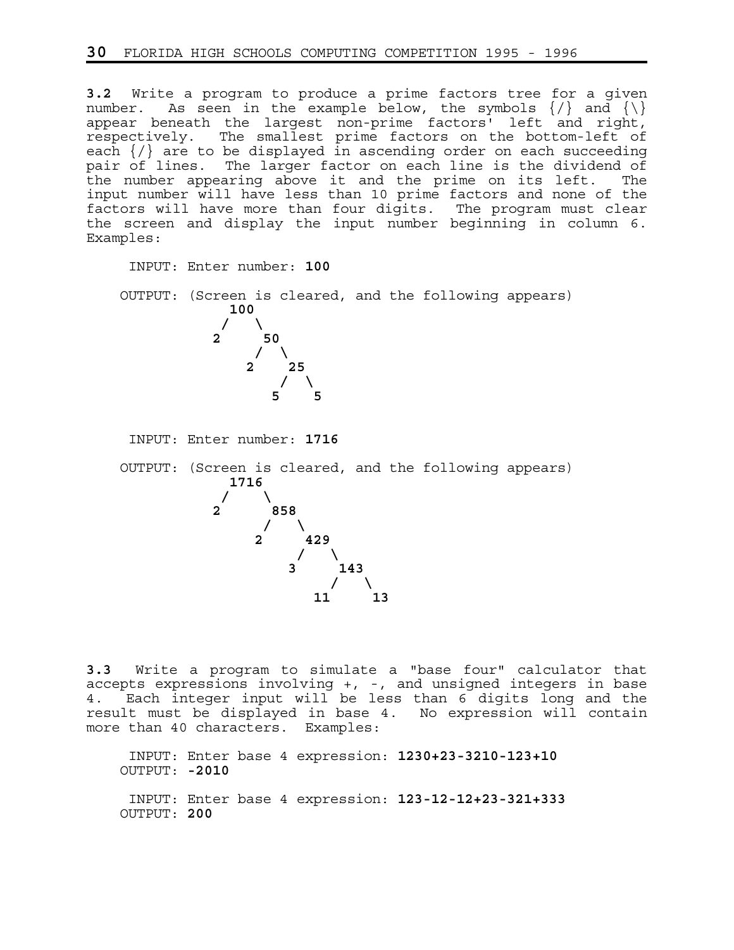**3.2** Write a program to produce a prime factors tree for a given number. As seen in the example below, the symbols  $\{\rangle\}$  and  $\{\setminus\}$ appear beneath the largest non-prime factors' left and right, respectively. The smallest prime factors on the bottom-left of each  $\{\prime\}$  are to be displayed in ascending order on each succeeding pair of lines. The larger factor on each line is the dividend of the number appearing above it and the prime on its left. The input number will have less than 10 prime factors and none of the factors will have more than four digits. The program must clear the screen and display the input number beginning in column 6. Examples:

 INPUT: Enter number: **100** OUTPUT: (Screen is cleared, and the following appears) **100**   $\frac{1}{2}$  /  $\frac{1}{2}$ **2** 50  $\frac{1}{2}$   $\frac{1}{2}$   $\frac{1}{2}$   $\frac{1}{2}$   $\frac{1}{2}$   $\frac{1}{2}$   $\frac{1}{2}$   $\frac{1}{2}$   $\frac{1}{2}$   $\frac{1}{2}$   $\frac{1}{2}$   $\frac{1}{2}$   $\frac{1}{2}$   $\frac{1}{2}$   $\frac{1}{2}$   $\frac{1}{2}$   $\frac{1}{2}$   $\frac{1}{2}$   $\frac{1}{2}$   $\frac{1}{2}$   $\frac{1}{2}$   $\frac{1}{2}$  **2** 25  $\frac{1}{2}$   $\frac{1}{2}$   $\frac{1}{2}$   $\frac{1}{2}$   $\frac{1}{2}$   $\frac{1}{2}$   $\frac{1}{2}$   $\frac{1}{2}$   $\frac{1}{2}$   $\frac{1}{2}$   $\frac{1}{2}$   $\frac{1}{2}$   $\frac{1}{2}$   $\frac{1}{2}$   $\frac{1}{2}$   $\frac{1}{2}$   $\frac{1}{2}$   $\frac{1}{2}$   $\frac{1}{2}$   $\frac{1}{2}$   $\frac{1}{2}$   $\frac{1}{2}$  **5** 5 5 INPUT: Enter number: **1716** OUTPUT: (Screen is cleared, and the following appears) **1716**   $\prime$  /  $\prime$  /  $\prime$  **2 858**   $\frac{1}{2}$  /  $\frac{1}{2}$  **2 429**   $\frac{1}{2}$  /  $\frac{1}{2}$ **3** 143  $\frac{1}{2}$   $\frac{1}{2}$   $\frac{1}{2}$   $\frac{1}{2}$   $\frac{1}{2}$   $\frac{1}{2}$   $\frac{1}{2}$   $\frac{1}{2}$   $\frac{1}{2}$   $\frac{1}{2}$   $\frac{1}{2}$   $\frac{1}{2}$   $\frac{1}{2}$   $\frac{1}{2}$   $\frac{1}{2}$   $\frac{1}{2}$   $\frac{1}{2}$   $\frac{1}{2}$   $\frac{1}{2}$   $\frac{1}{2}$   $\frac{1}{2}$   $\frac{1}{2}$  **11** 13

**3.3** Write a program to simulate a "base four" calculator that accepts expressions involving +, -, and unsigned integers in base 4. Each integer input will be less than 6 digits long and the result must be displayed in base 4. No expression will contain more than 40 characters. Examples:

 INPUT: Enter base 4 expression: **1230+23-3210-123+10** OUTPUT: **-2010** INPUT: Enter base 4 expression: **123-12-12+23-321+333** OUTPUT: **200**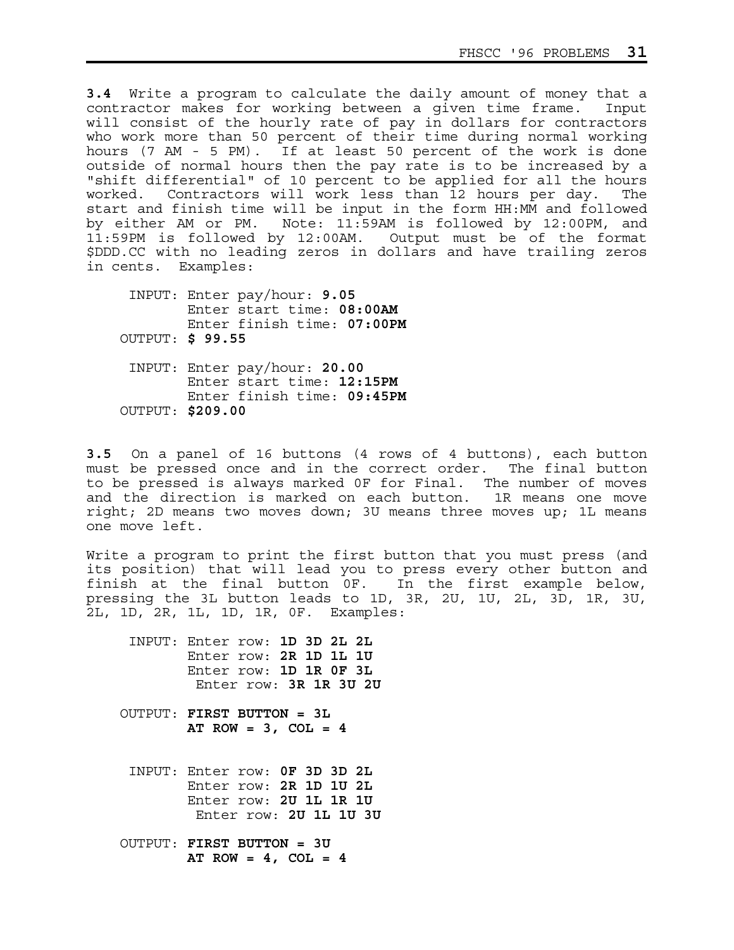**3.4** Write a program to calculate the daily amount of money that a contractor makes for working between a given time frame. Input will consist of the hourly rate of pay in dollars for contractors who work more than 50 percent of their time during normal working hours (7 AM - 5 PM). If at least 50 percent of the work is done outside of normal hours then the pay rate is to be increased by a "shift differential" of 10 percent to be applied for all the hours worked. Contractors will work less than 12 hours per day. The start and finish time will be input in the form HH:MM and followed by either AM or PM. Note: 11:59AM is followed by 12:00PM, and 11:59PM is followed by 12:00AM. Output must be of the format \$DDD.CC with no leading zeros in dollars and have trailing zeros in cents. Examples:

 INPUT: Enter pay/hour: **9.05** Enter start time: **08:00AM** Enter finish time: **07:00PM** OUTPUT: **\$ 99.55** INPUT: Enter pay/hour: **20.00** Enter start time: **12:15PM** Enter finish time: **09:45PM** OUTPUT: **\$209.00**

**3.5** On a panel of 16 buttons (4 rows of 4 buttons), each button must be pressed once and in the correct order. The final button to be pressed is always marked 0F for Final. The number of moves and the direction is marked on each button. 1R means one move right; 2D means two moves down; 3U means three moves up; 1L means one move left.

Write a program to print the first button that you must press (and its position) that will lead you to press every other button and finish at the final button 0F. In the first example below, pressing the 3L button leads to 1D, 3R, 2U, 1U, 2L, 3D, 1R, 3U, 2L, 1D, 2R, 1L, 1D, 1R, 0F. Examples:

 INPUT: Enter row: **1D 3D 2L 2L** Enter row: **2R 1D 1L 1U** Enter row: **1D 1R 0F 3L** Enter row: **3R 1R 3U 2U**

- OUTPUT: **FIRST BUTTON = 3L AT ROW = 3, COL = 4**
	- INPUT: Enter row: **0F 3D 3D 2L** Enter row: **2R 1D 1U 2L** Enter row: **2U 1L 1R 1U** Enter row: **2U 1L 1U 3U**
- OUTPUT: **FIRST BUTTON = 3U AT ROW = 4, COL = 4**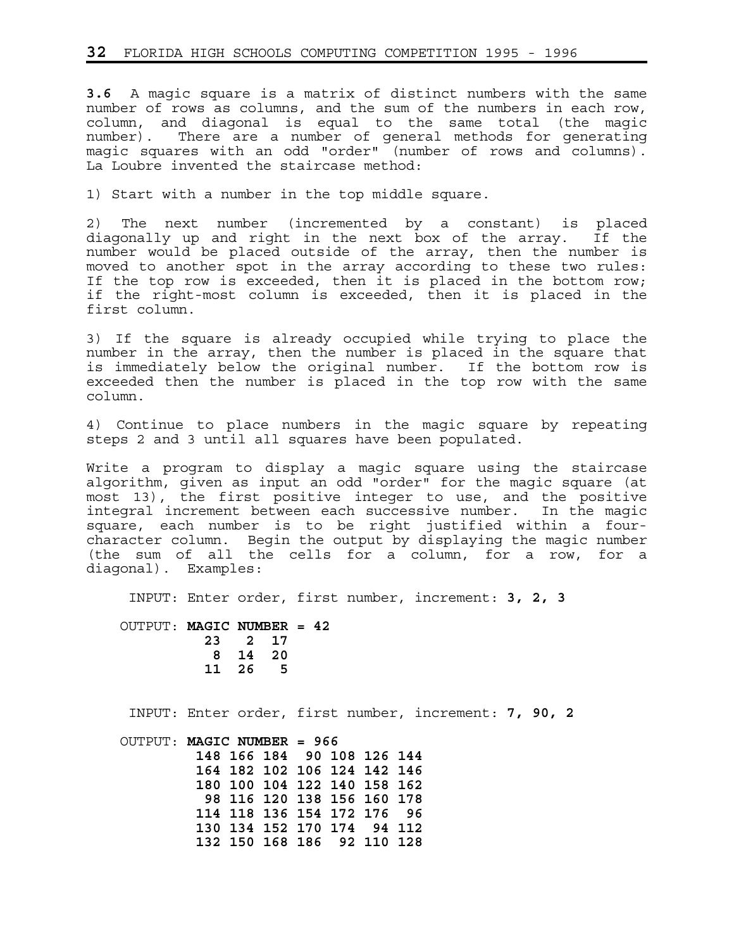**3.6** A magic square is a matrix of distinct numbers with the same number of rows as columns, and the sum of the numbers in each row, column, and diagonal is equal to the same total (the magic number). There are a number of general methods for generating magic squares with an odd "order" (number of rows and columns). La Loubre invented the staircase method:

1) Start with a number in the top middle square.

2) The next number (incremented by a constant) is placed diagonally up and right in the next box of the array. If the number would be placed outside of the array, then the number is moved to another spot in the array according to these two rules: If the top row is exceeded, then it is placed in the bottom row; if the right-most column is exceeded, then it is placed in the first column.

3) If the square is already occupied while trying to place the number in the array, then the number is placed in the square that is immediately below the original number. If the bottom row is exceeded then the number is placed in the top row with the same column.

4) Continue to place numbers in the magic square by repeating steps 2 and 3 until all squares have been populated.

Write a program to display a magic square using the staircase algorithm, given as input an odd "order" for the magic square (at most 13), the first positive integer to use, and the positive integral increment between each successive number. In the magic square, each number is to be right justified within a fourcharacter column. Begin the output by displaying the magic number (the sum of all the cells for a column, for a row, for a diagonal). Examples:

INPUT: Enter order, first number, increment: **3, 2, 3**

 OUTPUT: **MAGIC NUMBER = 42 23 2 17 8 14 20 11 26 5**

INPUT: Enter order, first number, increment: **7, 90, 2**

 OUTPUT: **MAGIC NUMBER = 966 148 166 184 90 108 126 144 164 182 102 106 124 142 146 180 100 104 122 140 158 162 98 116 120 138 156 160 178 114 118 136 154 172 176 96 130 134 152 170 174 94 112 132 150 168 186 92 110 128**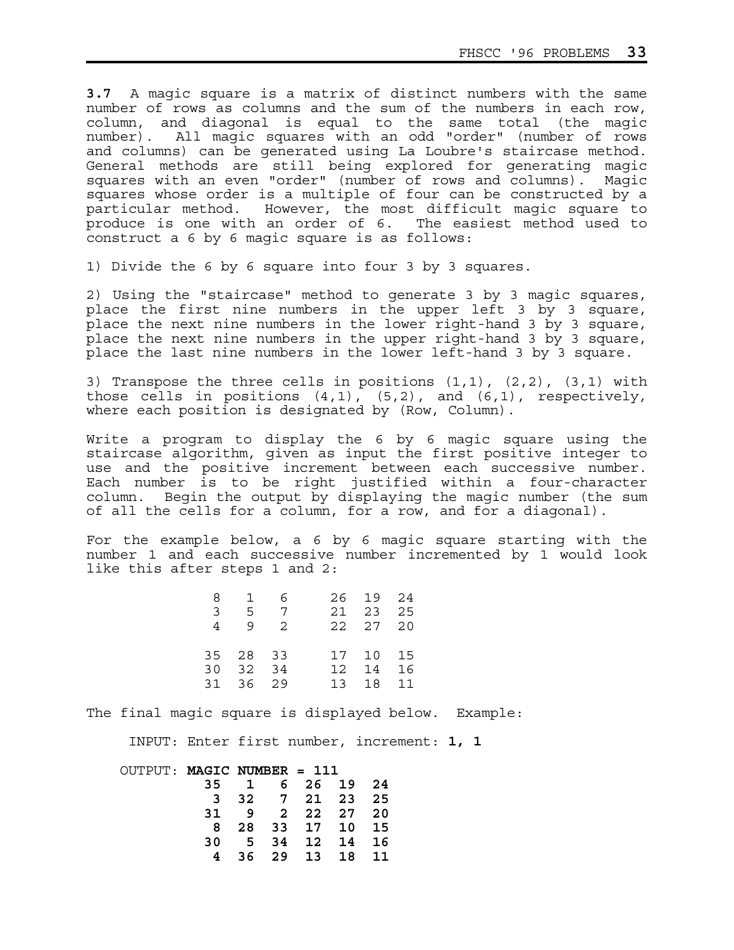**3.7** A magic square is a matrix of distinct numbers with the same number of rows as columns and the sum of the numbers in each row, column, and diagonal is equal to the same total (the magic number). All magic squares with an odd "order" (number of rows and columns) can be generated using La Loubre's staircase method. General methods are still being explored for generating magic squares with an even "order" (number of rows and columns). Magic squares whose order is a multiple of four can be constructed by a particular method. However, the most difficult magic square to produce is one with an order of 6. The easiest method used to construct a 6 by 6 magic square is as follows:

1) Divide the 6 by 6 square into four 3 by 3 squares.

2) Using the "staircase" method to generate 3 by 3 magic squares, place the first nine numbers in the upper left 3 by 3 square, place the next nine numbers in the lower right-hand 3 by 3 square, place the next nine numbers in the upper right-hand 3 by 3 square, place the last nine numbers in the lower left-hand 3 by 3 square.

3) Transpose the three cells in positions (1,1), (2,2), (3,1) with those cells in positions  $(4,1)$ ,  $(5,2)$ , and  $(6,1)$ , respectively, where each position is designated by (Row, Column).

Write a program to display the 6 by 6 magic square using the staircase algorithm, given as input the first positive integer to use and the positive increment between each successive number. Each number is to be right justified within a four-character column. Begin the output by displaying the magic number (the sum of all the cells for a column, for a row, and for a diagonal).

For the example below, a 6 by 6 magic square starting with the number 1 and each successive number incremented by 1 would look like this after steps 1 and 2:

|               |          | 8 1 6        |  | 26 19 24 |  |
|---------------|----------|--------------|--|----------|--|
| $\mathcal{R}$ |          | 5 7 21 23 25 |  |          |  |
| 4             |          | 9 2 22 27 20 |  |          |  |
|               |          |              |  |          |  |
|               | 35 28 33 |              |  | 17 10 15 |  |
|               | 30 32 34 |              |  | 12 14 16 |  |
|               | 31 36 29 |              |  | 13 18 11 |  |

The final magic square is displayed below. Example:

INPUT: Enter first number, increment: **1, 1**

| OUTPUT: MAGIC NUMBER = 111 |             |    |                  |     |    |
|----------------------------|-------------|----|------------------|-----|----|
|                            | 35 1        |    | 6 26 19          |     | 24 |
|                            |             |    | 3 32 7 21 23 25  |     |    |
|                            | 31 <b>B</b> | -9 | 2 22 27 20       |     |    |
|                            |             |    | 8 28 33 17 10 15 |     |    |
|                            | 30          |    | 5 34 12 14       |     | 16 |
|                            |             |    | 36 29 13         | 1 R | 11 |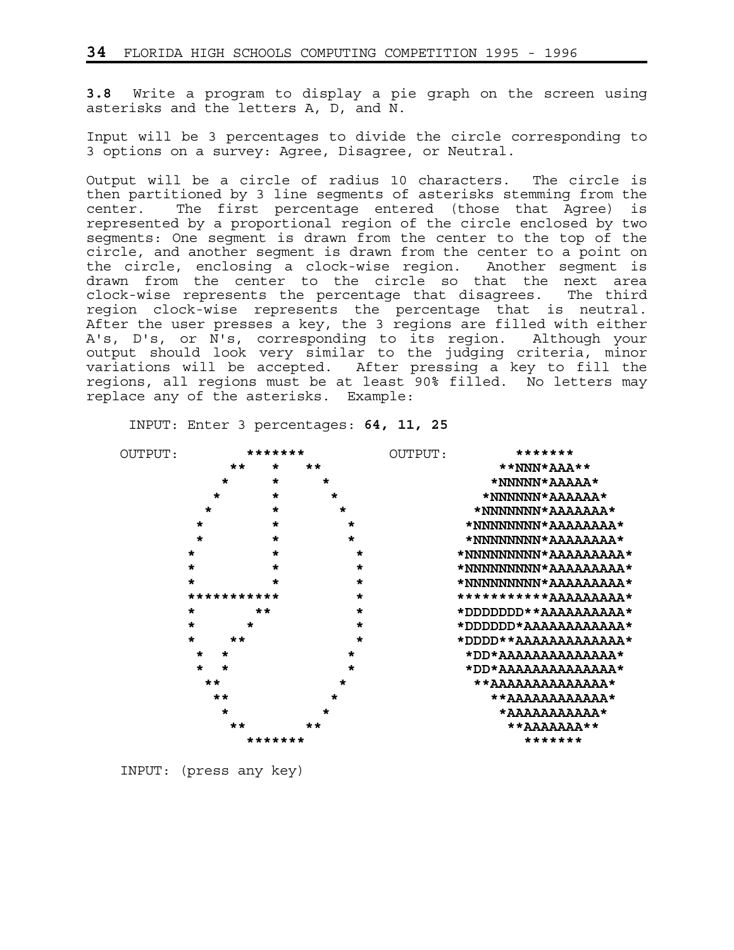**3.8** Write a program to display a pie graph on the screen using asterisks and the letters A, D, and N.

Input will be 3 percentages to divide the circle corresponding to 3 options on a survey: Agree, Disagree, or Neutral.

Output will be a circle of radius 10 characters. The circle is then partitioned by 3 line segments of asterisks stemming from the center. The first percentage entered (those that Agree) is represented by a proportional region of the circle enclosed by two segments: One segment is drawn from the center to the top of the circle, and another segment is drawn from the center to a point on the circle, enclosing a clock-wise region. Another segment is drawn from the center to the circle so that the next area clock-wise represents the percentage that disagrees. The third region clock-wise represents the percentage that is neutral. After the user presses a key, the 3 regions are filled with either A's, D's, or N's, corresponding to its region. Although your output should look very similar to the judging criteria, minor variations will be accepted. After pressing a key to fill the regions, all regions must be at least 90% filled. No letters may replace any of the asterisks. Example:

| OUTPUT: |                    | *******      |         | OUTPUT: | *******                      |
|---------|--------------------|--------------|---------|---------|------------------------------|
|         | **                 | $\star$      | **      |         | **NNN*AAA**                  |
|         | $\star$            | $\star$      | $\star$ |         | *NNNNN*AAAAA*                |
|         | $\star$            | $\star$      | $\star$ |         | *NNNNNN*AAAAAA*              |
|         | $\star$            | $\star$      | $\star$ |         | *NNNNNNN*AAAAAA*             |
|         | $\star$            | $\star$      | $\star$ |         | *NNNNNNNN*AAAAAAA*           |
|         | $\star$            | $\star$      | $\star$ |         | *NNNNNNNN*AAAAAAA*           |
|         | $\star$            | $\star$      | $\star$ |         | *NNNNNNNNN*AAAAAAAA*         |
|         | $\star$            | $\star$      | $\star$ |         | *NNNNNNNNN*AAAAAAAA*         |
|         | $\star$            |              | $\star$ |         | *NNNNNNNNN*AAAAAAAA*         |
|         | ***********        |              | $\star$ |         | *********** <u>ддддддд</u> * |
|         | $\star$            | $\star\star$ | $\star$ |         | *DDDDDDD**AAAAAAAAA*         |
|         | $\star$<br>$\star$ |              | $\star$ |         | *DDDDDD*AAAAAAAAAAA*         |
|         | $\star$<br>**      |              | $\star$ |         | *DDDD**AAAAAAAAAAAA*         |
|         | $\star$<br>$\star$ |              | *       |         | *DD*AAAAAAAAAAAAA*           |
|         | $\star$<br>$\star$ |              | $\star$ |         | *DD*AAAAAAAAAAAAA*           |
|         | $**$               |              | $\star$ |         | **AAAAAAAAAAAAA*             |
|         | $\star\star$       |              | $\star$ |         | **AAAAAAAAAAA*               |
|         | $\star$            |              | $\star$ |         | *AAAAAAAAAA*                 |
|         | **                 |              | **      |         | **AAAAAAA**                  |
|         |                    | *******      |         |         | *******                      |

INPUT: Enter 3 percentages: **64, 11, 25**

INPUT: (press any key)